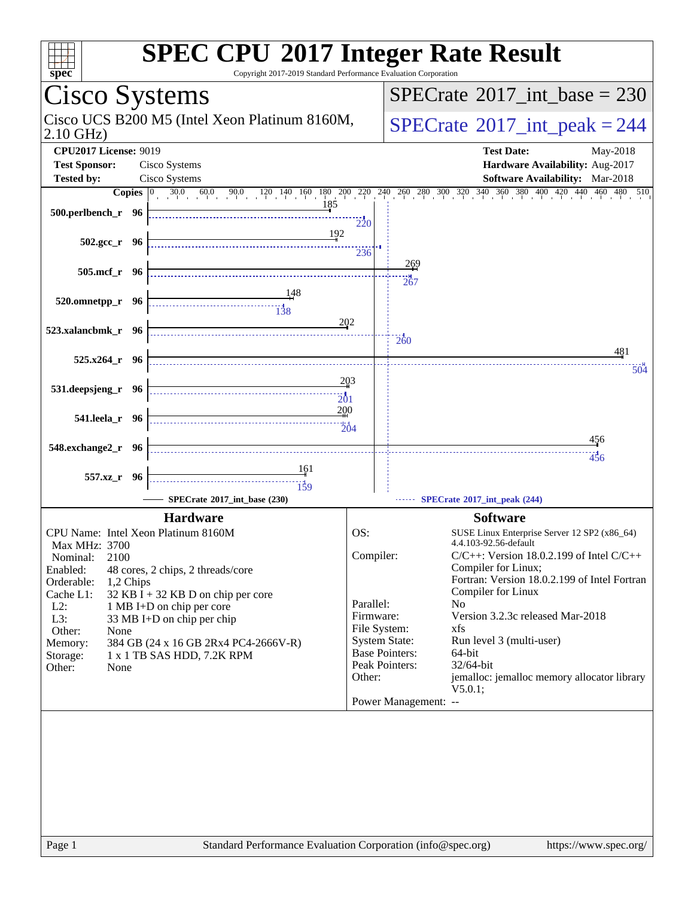| spec <sup>®</sup>                                                                                                                                                                                                                                                                                                   | <b>SPEC CPU®2017 Integer Rate Result</b><br>Copyright 2017-2019 Standard Performance Evaluation Corporation                                                                                                                                                                                                                                 |
|---------------------------------------------------------------------------------------------------------------------------------------------------------------------------------------------------------------------------------------------------------------------------------------------------------------------|---------------------------------------------------------------------------------------------------------------------------------------------------------------------------------------------------------------------------------------------------------------------------------------------------------------------------------------------|
| Cisco Systems                                                                                                                                                                                                                                                                                                       | $SPECrate^{\circledast}2017$ int base = 230                                                                                                                                                                                                                                                                                                 |
| Cisco UCS B200 M5 (Intel Xeon Platinum 8160M,<br>$2.10$ GHz)                                                                                                                                                                                                                                                        | $SPECTate$ <sup>®</sup> 2017_int_peak = 244                                                                                                                                                                                                                                                                                                 |
| <b>CPU2017 License: 9019</b>                                                                                                                                                                                                                                                                                        | <b>Test Date:</b><br>May-2018                                                                                                                                                                                                                                                                                                               |
| <b>Test Sponsor:</b><br>Cisco Systems                                                                                                                                                                                                                                                                               | Hardware Availability: Aug-2017                                                                                                                                                                                                                                                                                                             |
| Cisco Systems<br><b>Tested by:</b>                                                                                                                                                                                                                                                                                  | Software Availability: Mar-2018                                                                                                                                                                                                                                                                                                             |
| 185<br>500.perlbench_r 96                                                                                                                                                                                                                                                                                           | <b>Copies</b> $\begin{bmatrix} 0 & 30.0 & 60.0 & 90.0 & 120 & 140 & 160 & 180 & 200 & 220 & 240 & 260 & 280 & 300 & 320 & 340 & 360 & 380 & 400 & 420 & 440 & 460 & 480 & 510 \end{bmatrix}$<br>220                                                                                                                                         |
| 192<br>$502.\text{gcc r}$ 96                                                                                                                                                                                                                                                                                        | 236                                                                                                                                                                                                                                                                                                                                         |
| $505$ .mcf $r$ 96                                                                                                                                                                                                                                                                                                   | <u> 269</u><br>267                                                                                                                                                                                                                                                                                                                          |
| 520.omnetpp_r 96<br>$\begin{array}{c c c c} \hline \textbf{138} & \textbf{138} \end{array}$                                                                                                                                                                                                                         | 202                                                                                                                                                                                                                                                                                                                                         |
| 523.xalancbmk_r 96<br>$525.x264_r$ 96                                                                                                                                                                                                                                                                               | $\frac{1}{260}$<br>481                                                                                                                                                                                                                                                                                                                      |
|                                                                                                                                                                                                                                                                                                                     | 504                                                                                                                                                                                                                                                                                                                                         |
| 531.deepsjeng_r 96                                                                                                                                                                                                                                                                                                  | 203<br>201<br>200                                                                                                                                                                                                                                                                                                                           |
| 541.leela_r 96                                                                                                                                                                                                                                                                                                      | $\frac{1}{204}$<br>456                                                                                                                                                                                                                                                                                                                      |
| 548.exchange2_r 96                                                                                                                                                                                                                                                                                                  | $4\frac{1}{3}6$                                                                                                                                                                                                                                                                                                                             |
| 161<br>557.xz_r 96<br><br>$\frac{1}{159}$                                                                                                                                                                                                                                                                           |                                                                                                                                                                                                                                                                                                                                             |
| SPECrate®2017_int_base (230)                                                                                                                                                                                                                                                                                        | SPECrate®2017_int_peak (244)                                                                                                                                                                                                                                                                                                                |
| <b>Hardware</b>                                                                                                                                                                                                                                                                                                     | <b>Software</b>                                                                                                                                                                                                                                                                                                                             |
| CPU Name: Intel Xeon Platinum 8160M                                                                                                                                                                                                                                                                                 | OS:<br>SUSE Linux Enterprise Server 12 SP2 (x86_64)                                                                                                                                                                                                                                                                                         |
| Max MHz: 3700<br>Nominal:<br>2100<br>Enabled:<br>48 cores, 2 chips, 2 threads/core<br>Orderable:<br>1,2 Chips<br>$32$ KB I + 32 KB D on chip per core<br>Cache L1:<br>$L2$ :<br>1 MB I+D on chip per core<br>L3:<br>33 MB I+D on chip per chip<br>Other:<br>None<br>384 GB (24 x 16 GB 2Rx4 PC4-2666V-R)<br>Memory: | 4.4.103-92.56-default<br>Compiler:<br>$C/C++$ : Version 18.0.2.199 of Intel $C/C++$<br>Compiler for Linux;<br>Fortran: Version 18.0.2.199 of Intel Fortran<br>Compiler for Linux<br>Parallel:<br>N <sub>0</sub><br>Version 3.2.3c released Mar-2018<br>Firmware:<br>File System:<br>xfs<br><b>System State:</b><br>Run level 3 (multi-user) |
| 1 x 1 TB SAS HDD, 7.2K RPM<br>Storage:<br>Other:<br>None                                                                                                                                                                                                                                                            | <b>Base Pointers:</b><br>64-bit<br>Peak Pointers:<br>32/64-bit<br>jemalloc: jemalloc memory allocator library<br>Other:<br>V5.0.1;<br>Power Management: --                                                                                                                                                                                  |
| Page 1                                                                                                                                                                                                                                                                                                              | Standard Performance Evaluation Corporation (info@spec.org)<br>https://www.spec.org/                                                                                                                                                                                                                                                        |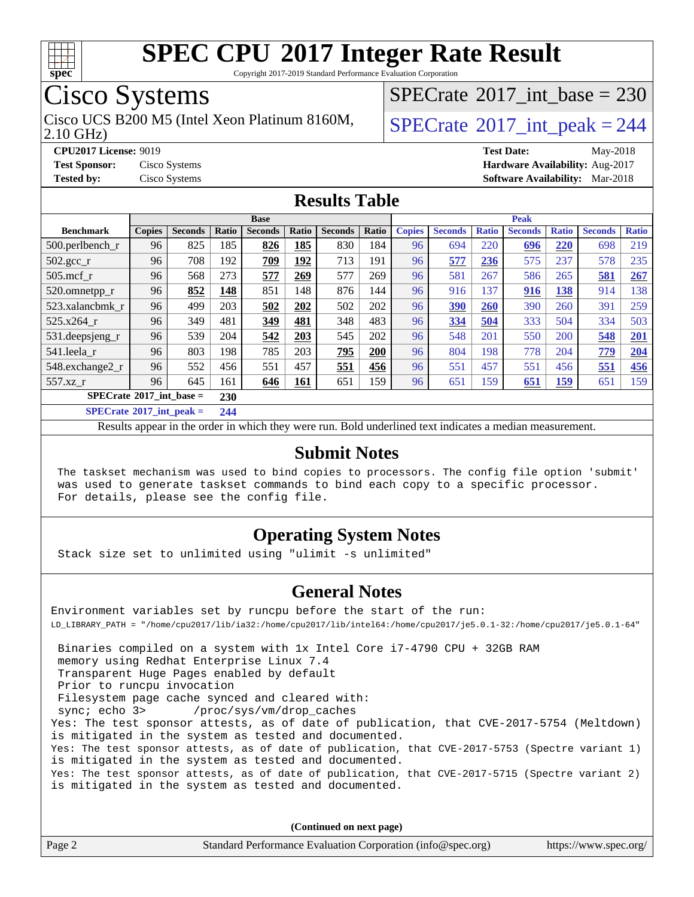

Copyright 2017-2019 Standard Performance Evaluation Corporation

## Cisco Systems

2.10 GHz) Cisco UCS B200 M5 (Intel Xeon Platinum 8160M,  $\big|$  [SPECrate](http://www.spec.org/auto/cpu2017/Docs/result-fields.html#SPECrate2017intpeak) [2017\\_int\\_peak = 2](http://www.spec.org/auto/cpu2017/Docs/result-fields.html#SPECrate2017intpeak)44

 $SPECrate$ <sup>®</sup>[2017\\_int\\_base =](http://www.spec.org/auto/cpu2017/Docs/result-fields.html#SPECrate2017intbase) 230

**[CPU2017 License:](http://www.spec.org/auto/cpu2017/Docs/result-fields.html#CPU2017License)** 9019 **[Test Date:](http://www.spec.org/auto/cpu2017/Docs/result-fields.html#TestDate)** May-2018

**[Test Sponsor:](http://www.spec.org/auto/cpu2017/Docs/result-fields.html#TestSponsor)** Cisco Systems **[Hardware Availability:](http://www.spec.org/auto/cpu2017/Docs/result-fields.html#HardwareAvailability)** Aug-2017 **[Tested by:](http://www.spec.org/auto/cpu2017/Docs/result-fields.html#Testedby)** Cisco Systems **[Software Availability:](http://www.spec.org/auto/cpu2017/Docs/result-fields.html#SoftwareAvailability)** Mar-2018

#### **[Results Table](http://www.spec.org/auto/cpu2017/Docs/result-fields.html#ResultsTable)**

| <b>Base</b>                           |               |                |       |                |            | <b>Peak</b>    |       |               |                |              |                |              |                |              |
|---------------------------------------|---------------|----------------|-------|----------------|------------|----------------|-------|---------------|----------------|--------------|----------------|--------------|----------------|--------------|
| <b>Benchmark</b>                      | <b>Copies</b> | <b>Seconds</b> | Ratio | <b>Seconds</b> | Ratio      | <b>Seconds</b> | Ratio | <b>Copies</b> | <b>Seconds</b> | <b>Ratio</b> | <b>Seconds</b> | <b>Ratio</b> | <b>Seconds</b> | <b>Ratio</b> |
| $500.$ perlbench_r                    | 96            | 825            | 185   | 826            | 185        | 830            | 184   | 96            | 694            | 220          | 696            | 220          | 698            | 219          |
| $502.\text{gcc\_r}$                   | 96            | 708            | 192   | 709            | 192        | 713            | 191   | 96            | 577            | 236          | 575            | 237          | 578            | 235          |
| $505$ .mcf r                          | 96            | 568            | 273   | 577            | 269        | 577            | 269   | 96            | 581            | 267          | 586            | 265          | 581            | 267          |
| 520.omnetpp_r                         | 96            | 852            | 148   | 851            | 148        | 876            | 144   | 96            | 916            | 137          | 916            | 138          | 914            | 138          |
| 523.xalancbmk_r                       | 96            | 499            | 203   | 502            | 202        | 502            | 202   | 96            | 390            | 260          | 390            | 260          | 391            | 259          |
| 525.x264 r                            | 96            | 349            | 481   | 349            | 481        | 348            | 483   | 96            | 334            | 504          | 333            | 504          | 334            | 503          |
| $531.$ deepsjeng $_r$                 | 96            | 539            | 204   | 542            | 203        | 545            | 202   | 96            | 548            | 201          | 550            | 200          | 548            | 201          |
| 541.leela r                           | 96            | 803            | 198   | 785            | 203        | 795            | 200   | 96            | 804            | 198          | 778            | 204          | 779            | 204          |
| 548.exchange2_r                       | 96            | 552            | 456   | 551            | 457        | 551            | 456   | 96            | 551            | 457          | 551            | 456          | 551            | 456          |
| 557.xz r                              | 96            | 645            | 161   | 646            | <b>161</b> | 651            | 159   | 96            | 651            | 159          | 651            | <u>159</u>   | 651            | 159          |
| $SPECrate^{\circ}2017$ int base =     |               |                | 230   |                |            |                |       |               |                |              |                |              |                |              |
| $CDFCL_{14} \oplus 0.017$ $1.4$ $1.1$ |               |                | A     |                |            |                |       |               |                |              |                |              |                |              |

**[SPECrate](http://www.spec.org/auto/cpu2017/Docs/result-fields.html#SPECrate2017intpeak)[2017\\_int\\_peak =](http://www.spec.org/auto/cpu2017/Docs/result-fields.html#SPECrate2017intpeak) 244**

Results appear in the [order in which they were run](http://www.spec.org/auto/cpu2017/Docs/result-fields.html#RunOrder). Bold underlined text [indicates a median measurement](http://www.spec.org/auto/cpu2017/Docs/result-fields.html#Median).

#### **[Submit Notes](http://www.spec.org/auto/cpu2017/Docs/result-fields.html#SubmitNotes)**

 The taskset mechanism was used to bind copies to processors. The config file option 'submit' was used to generate taskset commands to bind each copy to a specific processor. For details, please see the config file.

#### **[Operating System Notes](http://www.spec.org/auto/cpu2017/Docs/result-fields.html#OperatingSystemNotes)**

Stack size set to unlimited using "ulimit -s unlimited"

#### **[General Notes](http://www.spec.org/auto/cpu2017/Docs/result-fields.html#GeneralNotes)**

Environment variables set by runcpu before the start of the run: LD\_LIBRARY\_PATH = "/home/cpu2017/lib/ia32:/home/cpu2017/lib/intel64:/home/cpu2017/je5.0.1-32:/home/cpu2017/je5.0.1-64"

 Binaries compiled on a system with 1x Intel Core i7-4790 CPU + 32GB RAM memory using Redhat Enterprise Linux 7.4 Transparent Huge Pages enabled by default Prior to runcpu invocation Filesystem page cache synced and cleared with: sync; echo 3> /proc/sys/vm/drop\_caches Yes: The test sponsor attests, as of date of publication, that CVE-2017-5754 (Meltdown) is mitigated in the system as tested and documented. Yes: The test sponsor attests, as of date of publication, that CVE-2017-5753 (Spectre variant 1) is mitigated in the system as tested and documented. Yes: The test sponsor attests, as of date of publication, that CVE-2017-5715 (Spectre variant 2) is mitigated in the system as tested and documented.

**(Continued on next page)**

| Page 2 | Standard Performance Evaluation Corporation (info@spec.org) | https://www.spec.org/ |
|--------|-------------------------------------------------------------|-----------------------|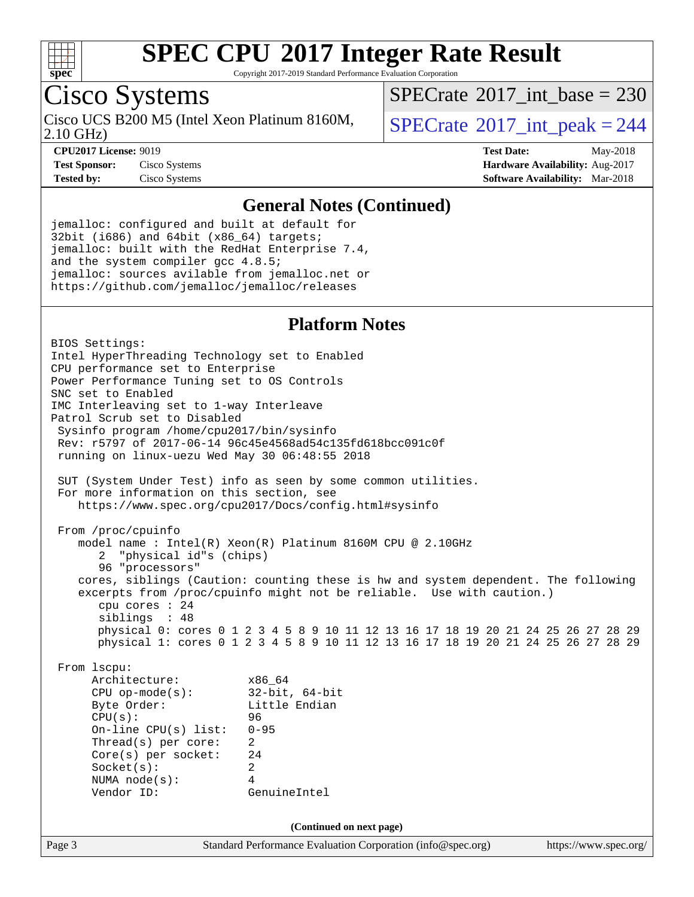

Copyright 2017-2019 Standard Performance Evaluation Corporation

## Cisco Systems

2.10 GHz) Cisco UCS B200 M5 (Intel Xeon Platinum 8160M,  $SPECrate^{\circ}2017\_int\_peak = 244$  $SPECrate^{\circ}2017\_int\_peak = 244$ 

 $SPECTate$ <sup>®</sup>[2017\\_int\\_base =](http://www.spec.org/auto/cpu2017/Docs/result-fields.html#SPECrate2017intbase) 230

**[CPU2017 License:](http://www.spec.org/auto/cpu2017/Docs/result-fields.html#CPU2017License)** 9019 **[Test Date:](http://www.spec.org/auto/cpu2017/Docs/result-fields.html#TestDate)** May-2018 **[Test Sponsor:](http://www.spec.org/auto/cpu2017/Docs/result-fields.html#TestSponsor)** Cisco Systems **[Hardware Availability:](http://www.spec.org/auto/cpu2017/Docs/result-fields.html#HardwareAvailability)** Aug-2017 **[Tested by:](http://www.spec.org/auto/cpu2017/Docs/result-fields.html#Testedby)** Cisco Systems **[Software Availability:](http://www.spec.org/auto/cpu2017/Docs/result-fields.html#SoftwareAvailability)** Mar-2018

#### **[General Notes \(Continued\)](http://www.spec.org/auto/cpu2017/Docs/result-fields.html#GeneralNotes)**

jemalloc: configured and built at default for 32bit (i686) and 64bit (x86\_64) targets; jemalloc: built with the RedHat Enterprise 7.4, and the system compiler gcc 4.8.5; jemalloc: sources avilable from jemalloc.net or <https://github.com/jemalloc/jemalloc/releases>

#### **[Platform Notes](http://www.spec.org/auto/cpu2017/Docs/result-fields.html#PlatformNotes)**

Page 3 Standard Performance Evaluation Corporation [\(info@spec.org\)](mailto:info@spec.org) <https://www.spec.org/> BIOS Settings: Intel HyperThreading Technology set to Enabled CPU performance set to Enterprise Power Performance Tuning set to OS Controls SNC set to Enabled IMC Interleaving set to 1-way Interleave Patrol Scrub set to Disabled Sysinfo program /home/cpu2017/bin/sysinfo Rev: r5797 of 2017-06-14 96c45e4568ad54c135fd618bcc091c0f running on linux-uezu Wed May 30 06:48:55 2018 SUT (System Under Test) info as seen by some common utilities. For more information on this section, see <https://www.spec.org/cpu2017/Docs/config.html#sysinfo> From /proc/cpuinfo model name : Intel(R) Xeon(R) Platinum 8160M CPU @ 2.10GHz 2 "physical id"s (chips) 96 "processors" cores, siblings (Caution: counting these is hw and system dependent. The following excerpts from /proc/cpuinfo might not be reliable. Use with caution.) cpu cores : 24 siblings : 48 physical 0: cores 0 1 2 3 4 5 8 9 10 11 12 13 16 17 18 19 20 21 24 25 26 27 28 29 physical 1: cores 0 1 2 3 4 5 8 9 10 11 12 13 16 17 18 19 20 21 24 25 26 27 28 29 From lscpu: Architecture: x86\_64 CPU op-mode(s): 32-bit, 64-bit Byte Order: Little Endian CPU(s): 96 On-line CPU(s) list: 0-95 Thread(s) per core: 2 Core(s) per socket: 24 Socket(s): 2 NUMA node(s): 4 Vendor ID: GenuineIntel **(Continued on next page)**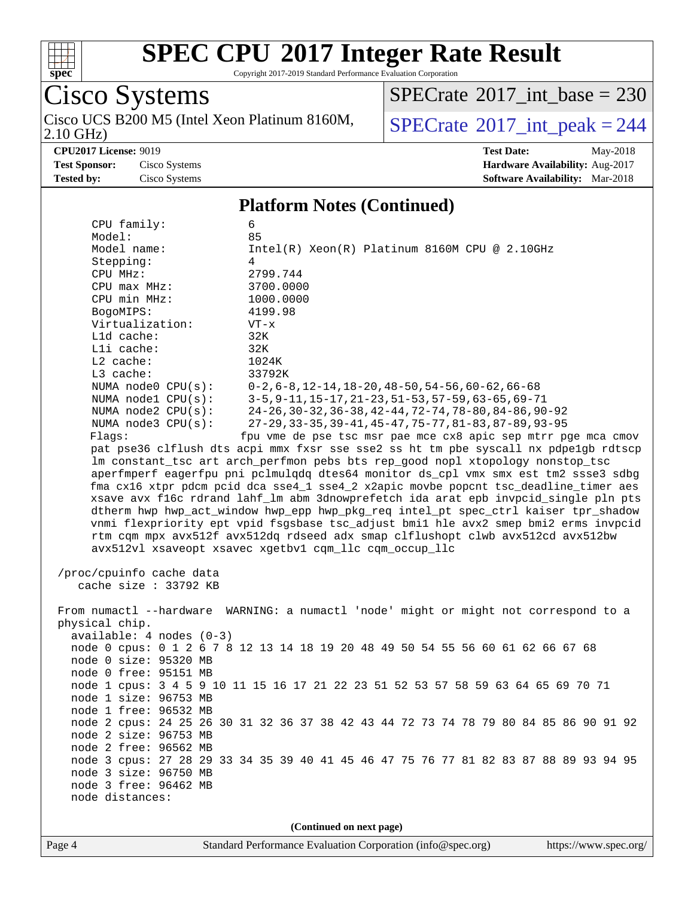

Copyright 2017-2019 Standard Performance Evaluation Corporation

Cisco Systems 2.10 GHz) Cisco UCS B200 M5 (Intel Xeon Platinum 8160M,  $SPECrate^{\circ}2017\_int\_peak = 244$  $SPECrate^{\circ}2017\_int\_peak = 244$ 

 $SPECrate$ <sup>®</sup>[2017\\_int\\_base =](http://www.spec.org/auto/cpu2017/Docs/result-fields.html#SPECrate2017intbase) 230

**[CPU2017 License:](http://www.spec.org/auto/cpu2017/Docs/result-fields.html#CPU2017License)** 9019 **[Test Date:](http://www.spec.org/auto/cpu2017/Docs/result-fields.html#TestDate)** May-2018 **[Test Sponsor:](http://www.spec.org/auto/cpu2017/Docs/result-fields.html#TestSponsor)** Cisco Systems **[Hardware Availability:](http://www.spec.org/auto/cpu2017/Docs/result-fields.html#HardwareAvailability)** Aug-2017 **[Tested by:](http://www.spec.org/auto/cpu2017/Docs/result-fields.html#Testedby)** Cisco Systems **[Software Availability:](http://www.spec.org/auto/cpu2017/Docs/result-fields.html#SoftwareAvailability)** Mar-2018

#### **[Platform Notes \(Continued\)](http://www.spec.org/auto/cpu2017/Docs/result-fields.html#PlatformNotes)**

| node 2 free: 96562 MB<br>node 3 size: 96750 MB<br>node 3 free: 96462 MB<br>node distances:                                                                                                                                                                                                       | (Continued on next page)                                                                                                                                                                                                                                                                                                                                                                                                                                                                                                                                                                                                                                                                                                                                                                                                                                                                                                                                                                                                                                                                                                                                                    |
|--------------------------------------------------------------------------------------------------------------------------------------------------------------------------------------------------------------------------------------------------------------------------------------------------|-----------------------------------------------------------------------------------------------------------------------------------------------------------------------------------------------------------------------------------------------------------------------------------------------------------------------------------------------------------------------------------------------------------------------------------------------------------------------------------------------------------------------------------------------------------------------------------------------------------------------------------------------------------------------------------------------------------------------------------------------------------------------------------------------------------------------------------------------------------------------------------------------------------------------------------------------------------------------------------------------------------------------------------------------------------------------------------------------------------------------------------------------------------------------------|
|                                                                                                                                                                                                                                                                                                  |                                                                                                                                                                                                                                                                                                                                                                                                                                                                                                                                                                                                                                                                                                                                                                                                                                                                                                                                                                                                                                                                                                                                                                             |
| physical chip.<br>available: 4 nodes (0-3)<br>node 0 size: 95320 MB<br>node 0 free: 95151 MB<br>node 1 size: 96753 MB<br>node 1 free: 96532 MB<br>node 2 size: 96753 MB                                                                                                                          | From numactl --hardware WARNING: a numactl 'node' might or might not correspond to a<br>node 0 cpus: 0 1 2 6 7 8 12 13 14 18 19 20 48 49 50 54 55 56 60 61 62 66 67 68<br>node 1 cpus: 3 4 5 9 10 11 15 16 17 21 22 23 51 52 53 57 58 59 63 64 65 69 70 71<br>node 2 cpus: 24 25 26 30 31 32 36 37 38 42 43 44 72 73 74 78 79 80 84 85 86 90 91 92<br>node 3 cpus: 27 28 29 33 34 35 39 40 41 45 46 47 75 76 77 81 82 83 87 88 89 93 94 95                                                                                                                                                                                                                                                                                                                                                                                                                                                                                                                                                                                                                                                                                                                                  |
| CPU MHz:<br>$CPU$ max $MHz$ :<br>CPU min MHz:<br>BogoMIPS:<br>Virtualization:<br>Lld cache:<br>Lli cache:<br>L2 cache:<br>L3 cache:<br>NUMA node0 CPU(s):<br>NUMA nodel $CPU(s):$<br>NUMA $node2$ $CPU(s):$<br>NUMA node3 CPU(s):<br>Flags:<br>/proc/cpuinfo cache data<br>cache size : 33792 KB | 4<br>2799.744<br>3700.0000<br>1000.0000<br>4199.98<br>$VT - x$<br>32K<br>32K<br>1024K<br>33792K<br>$0-2, 6-8, 12-14, 18-20, 48-50, 54-56, 60-62, 66-68$<br>$3-5, 9-11, 15-17, 21-23, 51-53, 57-59, 63-65, 69-71$<br>24-26, 30-32, 36-38, 42-44, 72-74, 78-80, 84-86, 90-92<br>27-29, 33-35, 39-41, 45-47, 75-77, 81-83, 87-89, 93-95<br>fpu vme de pse tsc msr pae mce cx8 apic sep mtrr pge mca cmov<br>pat pse36 clflush dts acpi mmx fxsr sse sse2 ss ht tm pbe syscall nx pdpelgb rdtscp<br>lm constant_tsc art arch_perfmon pebs bts rep_good nopl xtopology nonstop_tsc<br>aperfmperf eagerfpu pni pclmulqdq dtes64 monitor ds_cpl vmx smx est tm2 ssse3 sdbg<br>fma cx16 xtpr pdcm pcid dca sse4_1 sse4_2 x2apic movbe popcnt tsc_deadline_timer aes<br>xsave avx f16c rdrand lahf_lm abm 3dnowprefetch ida arat epb invpcid_single pln pts<br>dtherm hwp hwp_act_window hwp_epp hwp_pkg_req intel_pt spec_ctrl kaiser tpr_shadow<br>vnmi flexpriority ept vpid fsgsbase tsc_adjust bmil hle avx2 smep bmi2 erms invpcid<br>rtm cqm mpx avx512f avx512dq rdseed adx smap clflushopt clwb avx512cd avx512bw<br>avx512vl xsaveopt xsavec xqetbv1 cqm llc cqm occup llc |
| Model:<br>Model name:<br>Stepping:                                                                                                                                                                                                                                                               | 85<br>$Intel(R) Xeon(R) Platinum 8160M CPU @ 2.10GHz$                                                                                                                                                                                                                                                                                                                                                                                                                                                                                                                                                                                                                                                                                                                                                                                                                                                                                                                                                                                                                                                                                                                       |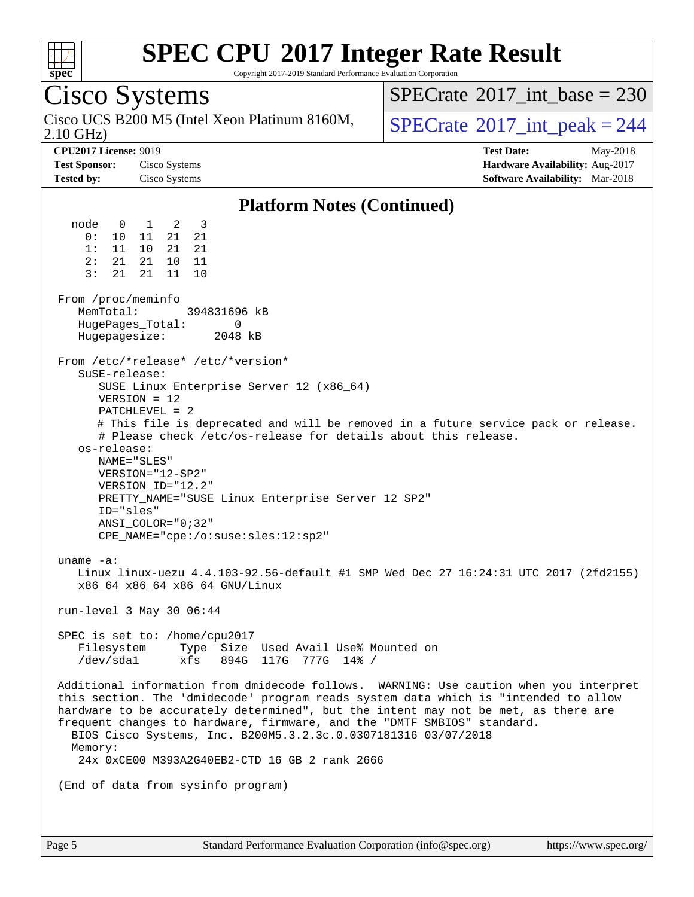

Copyright 2017-2019 Standard Performance Evaluation Corporation

## Cisco Systems

2.10 GHz) Cisco UCS B200 M5 (Intel Xeon Platinum 8160M,  $\big|$  [SPECrate](http://www.spec.org/auto/cpu2017/Docs/result-fields.html#SPECrate2017intpeak)<sup>®</sup>[2017\\_int\\_peak = 2](http://www.spec.org/auto/cpu2017/Docs/result-fields.html#SPECrate2017intpeak)44

 $SPECTate$ <sup>®</sup>[2017\\_int\\_base =](http://www.spec.org/auto/cpu2017/Docs/result-fields.html#SPECrate2017intbase) 230

**[CPU2017 License:](http://www.spec.org/auto/cpu2017/Docs/result-fields.html#CPU2017License)** 9019 **[Test Date:](http://www.spec.org/auto/cpu2017/Docs/result-fields.html#TestDate)** May-2018 **[Test Sponsor:](http://www.spec.org/auto/cpu2017/Docs/result-fields.html#TestSponsor)** Cisco Systems **[Hardware Availability:](http://www.spec.org/auto/cpu2017/Docs/result-fields.html#HardwareAvailability)** Aug-2017 **[Tested by:](http://www.spec.org/auto/cpu2017/Docs/result-fields.html#Testedby)** Cisco Systems **[Software Availability:](http://www.spec.org/auto/cpu2017/Docs/result-fields.html#SoftwareAvailability)** Mar-2018

#### **[Platform Notes \(Continued\)](http://www.spec.org/auto/cpu2017/Docs/result-fields.html#PlatformNotes)**

 node 0 1 2 3 0: 10 11 21 21 1: 11 10 21 21 2: 21 21 10 11 3: 21 21 11 10 From /proc/meminfo<br>MemTotal: 394831696 kB HugePages\_Total: 0 Hugepagesize: 2048 kB From /etc/\*release\* /etc/\*version\* SuSE-release: SUSE Linux Enterprise Server 12 (x86\_64) VERSION = 12 PATCHLEVEL = 2 # This file is deprecated and will be removed in a future service pack or release. # Please check /etc/os-release for details about this release. os-release: NAME="SLES" VERSION="12-SP2" VERSION\_ID="12.2" PRETTY\_NAME="SUSE Linux Enterprise Server 12 SP2" ID="sles" ANSI\_COLOR="0;32" CPE\_NAME="cpe:/o:suse:sles:12:sp2" uname -a: Linux linux-uezu 4.4.103-92.56-default #1 SMP Wed Dec 27 16:24:31 UTC 2017 (2fd2155) x86\_64 x86\_64 x86\_64 GNU/Linux run-level 3 May 30 06:44 SPEC is set to: /home/cpu2017 Filesystem Type Size Used Avail Use% Mounted on /dev/sda1 xfs 894G 117G 777G 14% / Additional information from dmidecode follows. WARNING: Use caution when you interpret this section. The 'dmidecode' program reads system data which is "intended to allow hardware to be accurately determined", but the intent may not be met, as there are frequent changes to hardware, firmware, and the "DMTF SMBIOS" standard. BIOS Cisco Systems, Inc. B200M5.3.2.3c.0.0307181316 03/07/2018 Memory: 24x 0xCE00 M393A2G40EB2-CTD 16 GB 2 rank 2666 (End of data from sysinfo program)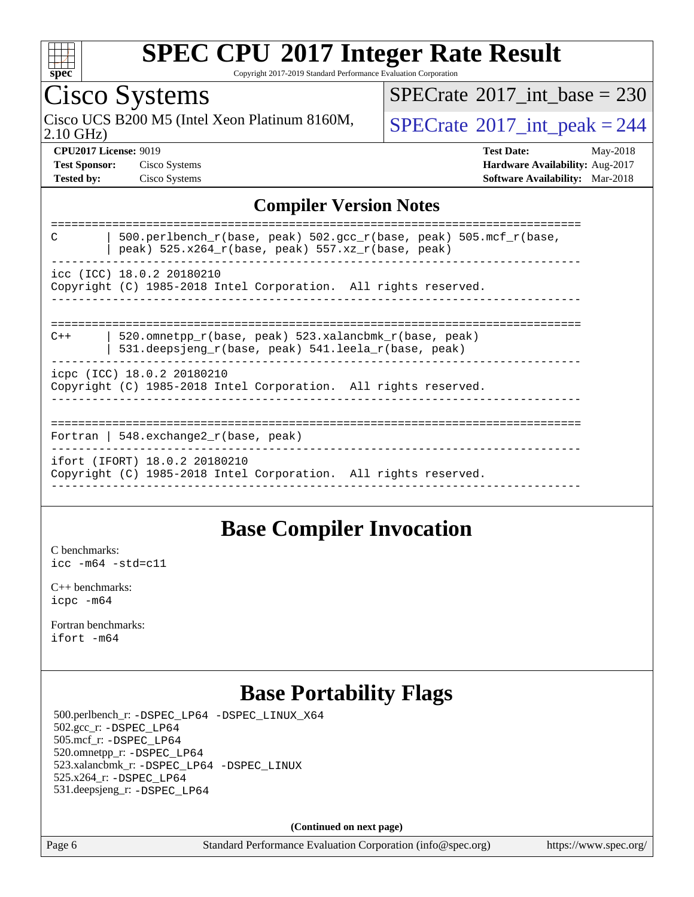

Copyright 2017-2019 Standard Performance Evaluation Corporation

## Cisco Systems

2.10 GHz) Cisco UCS B200 M5 (Intel Xeon Platinum 8160M,  $SPECrate^{\circ}2017\_int\_peak = 244$  $SPECrate^{\circ}2017\_int\_peak = 244$ 

 $SPECTate@2017_int\_base = 230$ 

**[CPU2017 License:](http://www.spec.org/auto/cpu2017/Docs/result-fields.html#CPU2017License)** 9019 **[Test Date:](http://www.spec.org/auto/cpu2017/Docs/result-fields.html#TestDate)** May-2018 **[Test Sponsor:](http://www.spec.org/auto/cpu2017/Docs/result-fields.html#TestSponsor)** Cisco Systems **[Hardware Availability:](http://www.spec.org/auto/cpu2017/Docs/result-fields.html#HardwareAvailability)** Aug-2017 **[Tested by:](http://www.spec.org/auto/cpu2017/Docs/result-fields.html#Testedby)** Cisco Systems **[Software Availability:](http://www.spec.org/auto/cpu2017/Docs/result-fields.html#SoftwareAvailability)** Mar-2018

#### **[Compiler Version Notes](http://www.spec.org/auto/cpu2017/Docs/result-fields.html#CompilerVersionNotes)**

| $\mathcal{C}$<br>500.perlbench r(base, peak) 502.gcc r(base, peak) 505.mcf r(base,<br>peak) 525.x264_r(base, peak) 557.xz_r(base, peak) |
|-----------------------------------------------------------------------------------------------------------------------------------------|
| icc (ICC) 18.0.2 20180210<br>Copyright (C) 1985-2018 Intel Corporation. All rights reserved.                                            |
|                                                                                                                                         |
| 520.omnetpp_r(base, peak) 523.xalancbmk_r(base, peak)<br>$C++$<br>531.deepsjeng r(base, peak) 541.leela r(base, peak)                   |
| icpc (ICC) 18.0.2 20180210<br>Copyright (C) 1985-2018 Intel Corporation. All rights reserved.                                           |
|                                                                                                                                         |
| Fortran   548.exchange2 $r(base, peak)$                                                                                                 |
| ifort (IFORT) 18.0.2 20180210<br>Copyright (C) 1985-2018 Intel Corporation. All rights reserved.                                        |
|                                                                                                                                         |

#### **[Base Compiler Invocation](http://www.spec.org/auto/cpu2017/Docs/result-fields.html#BaseCompilerInvocation)**

[C benchmarks](http://www.spec.org/auto/cpu2017/Docs/result-fields.html#Cbenchmarks): [icc -m64 -std=c11](http://www.spec.org/cpu2017/results/res2018q2/cpu2017-20180612-06895.flags.html#user_CCbase_intel_icc_64bit_c11_33ee0cdaae7deeeab2a9725423ba97205ce30f63b9926c2519791662299b76a0318f32ddfffdc46587804de3178b4f9328c46fa7c2b0cd779d7a61945c91cd35)

[C++ benchmarks:](http://www.spec.org/auto/cpu2017/Docs/result-fields.html#CXXbenchmarks) [icpc -m64](http://www.spec.org/cpu2017/results/res2018q2/cpu2017-20180612-06895.flags.html#user_CXXbase_intel_icpc_64bit_4ecb2543ae3f1412ef961e0650ca070fec7b7afdcd6ed48761b84423119d1bf6bdf5cad15b44d48e7256388bc77273b966e5eb805aefd121eb22e9299b2ec9d9)

[Fortran benchmarks](http://www.spec.org/auto/cpu2017/Docs/result-fields.html#Fortranbenchmarks): [ifort -m64](http://www.spec.org/cpu2017/results/res2018q2/cpu2017-20180612-06895.flags.html#user_FCbase_intel_ifort_64bit_24f2bb282fbaeffd6157abe4f878425411749daecae9a33200eee2bee2fe76f3b89351d69a8130dd5949958ce389cf37ff59a95e7a40d588e8d3a57e0c3fd751)

### **[Base Portability Flags](http://www.spec.org/auto/cpu2017/Docs/result-fields.html#BasePortabilityFlags)**

 500.perlbench\_r: [-DSPEC\\_LP64](http://www.spec.org/cpu2017/results/res2018q2/cpu2017-20180612-06895.flags.html#b500.perlbench_r_basePORTABILITY_DSPEC_LP64) [-DSPEC\\_LINUX\\_X64](http://www.spec.org/cpu2017/results/res2018q2/cpu2017-20180612-06895.flags.html#b500.perlbench_r_baseCPORTABILITY_DSPEC_LINUX_X64) 502.gcc\_r: [-DSPEC\\_LP64](http://www.spec.org/cpu2017/results/res2018q2/cpu2017-20180612-06895.flags.html#suite_basePORTABILITY502_gcc_r_DSPEC_LP64) 505.mcf\_r: [-DSPEC\\_LP64](http://www.spec.org/cpu2017/results/res2018q2/cpu2017-20180612-06895.flags.html#suite_basePORTABILITY505_mcf_r_DSPEC_LP64) 520.omnetpp\_r: [-DSPEC\\_LP64](http://www.spec.org/cpu2017/results/res2018q2/cpu2017-20180612-06895.flags.html#suite_basePORTABILITY520_omnetpp_r_DSPEC_LP64) 523.xalancbmk\_r: [-DSPEC\\_LP64](http://www.spec.org/cpu2017/results/res2018q2/cpu2017-20180612-06895.flags.html#suite_basePORTABILITY523_xalancbmk_r_DSPEC_LP64) [-DSPEC\\_LINUX](http://www.spec.org/cpu2017/results/res2018q2/cpu2017-20180612-06895.flags.html#b523.xalancbmk_r_baseCXXPORTABILITY_DSPEC_LINUX) 525.x264\_r: [-DSPEC\\_LP64](http://www.spec.org/cpu2017/results/res2018q2/cpu2017-20180612-06895.flags.html#suite_basePORTABILITY525_x264_r_DSPEC_LP64) 531.deepsjeng\_r: [-DSPEC\\_LP64](http://www.spec.org/cpu2017/results/res2018q2/cpu2017-20180612-06895.flags.html#suite_basePORTABILITY531_deepsjeng_r_DSPEC_LP64)

**(Continued on next page)**

Page 6 Standard Performance Evaluation Corporation [\(info@spec.org\)](mailto:info@spec.org) <https://www.spec.org/>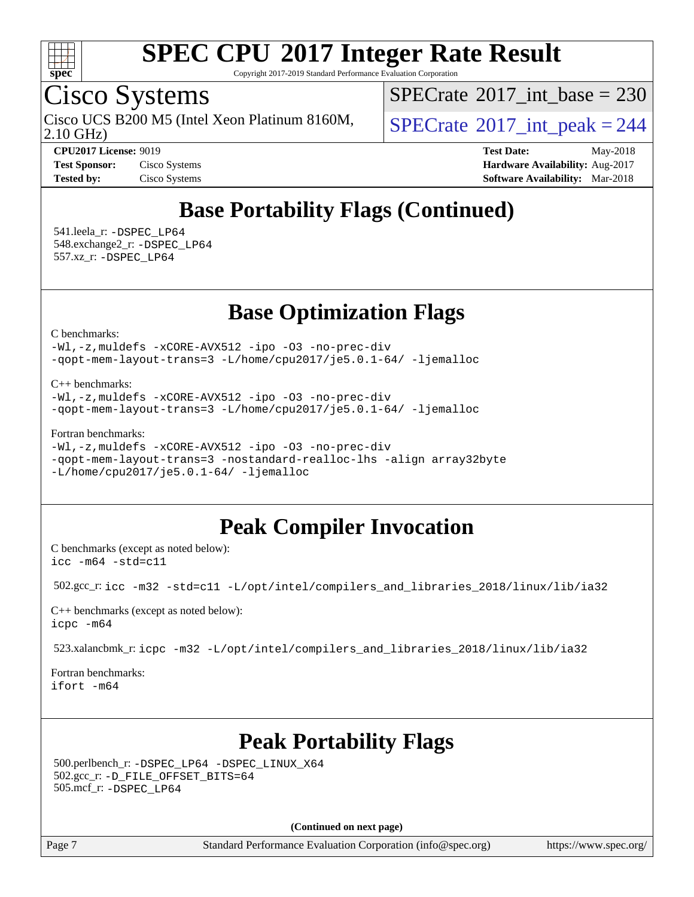

Copyright 2017-2019 Standard Performance Evaluation Corporation

## Cisco Systems

2.10 GHz) Cisco UCS B200 M5 (Intel Xeon Platinum 8160M,  $SPECrate^{\circ}2017\_int\_peak = 244$  $SPECrate^{\circ}2017\_int\_peak = 244$ 

 $SPECTate$ <sup>®</sup>[2017\\_int\\_base =](http://www.spec.org/auto/cpu2017/Docs/result-fields.html#SPECrate2017intbase) 230

**[CPU2017 License:](http://www.spec.org/auto/cpu2017/Docs/result-fields.html#CPU2017License)** 9019 **[Test Date:](http://www.spec.org/auto/cpu2017/Docs/result-fields.html#TestDate)** May-2018 **[Test Sponsor:](http://www.spec.org/auto/cpu2017/Docs/result-fields.html#TestSponsor)** Cisco Systems **Cisco Systems [Hardware Availability:](http://www.spec.org/auto/cpu2017/Docs/result-fields.html#HardwareAvailability)** Aug-2017 **[Tested by:](http://www.spec.org/auto/cpu2017/Docs/result-fields.html#Testedby)** Cisco Systems **[Software Availability:](http://www.spec.org/auto/cpu2017/Docs/result-fields.html#SoftwareAvailability)** Mar-2018

## **[Base Portability Flags \(Continued\)](http://www.spec.org/auto/cpu2017/Docs/result-fields.html#BasePortabilityFlags)**

 541.leela\_r: [-DSPEC\\_LP64](http://www.spec.org/cpu2017/results/res2018q2/cpu2017-20180612-06895.flags.html#suite_basePORTABILITY541_leela_r_DSPEC_LP64) 548.exchange2\_r: [-DSPEC\\_LP64](http://www.spec.org/cpu2017/results/res2018q2/cpu2017-20180612-06895.flags.html#suite_basePORTABILITY548_exchange2_r_DSPEC_LP64) 557.xz\_r: [-DSPEC\\_LP64](http://www.spec.org/cpu2017/results/res2018q2/cpu2017-20180612-06895.flags.html#suite_basePORTABILITY557_xz_r_DSPEC_LP64)

**[Base Optimization Flags](http://www.spec.org/auto/cpu2017/Docs/result-fields.html#BaseOptimizationFlags)**

[C benchmarks](http://www.spec.org/auto/cpu2017/Docs/result-fields.html#Cbenchmarks):

[-Wl,-z,muldefs](http://www.spec.org/cpu2017/results/res2018q2/cpu2017-20180612-06895.flags.html#user_CCbase_link_force_multiple1_b4cbdb97b34bdee9ceefcfe54f4c8ea74255f0b02a4b23e853cdb0e18eb4525ac79b5a88067c842dd0ee6996c24547a27a4b99331201badda8798ef8a743f577) [-xCORE-AVX512](http://www.spec.org/cpu2017/results/res2018q2/cpu2017-20180612-06895.flags.html#user_CCbase_f-xCORE-AVX512) [-ipo](http://www.spec.org/cpu2017/results/res2018q2/cpu2017-20180612-06895.flags.html#user_CCbase_f-ipo) [-O3](http://www.spec.org/cpu2017/results/res2018q2/cpu2017-20180612-06895.flags.html#user_CCbase_f-O3) [-no-prec-div](http://www.spec.org/cpu2017/results/res2018q2/cpu2017-20180612-06895.flags.html#user_CCbase_f-no-prec-div) [-qopt-mem-layout-trans=3](http://www.spec.org/cpu2017/results/res2018q2/cpu2017-20180612-06895.flags.html#user_CCbase_f-qopt-mem-layout-trans_de80db37974c74b1f0e20d883f0b675c88c3b01e9d123adea9b28688d64333345fb62bc4a798493513fdb68f60282f9a726aa07f478b2f7113531aecce732043) [-L/home/cpu2017/je5.0.1-64/](http://www.spec.org/cpu2017/results/res2018q2/cpu2017-20180612-06895.flags.html#user_CCbase_jemalloc_link_path64_8e927a5f1bdac0405e66c637541874330e08086b5e62a1d024bcf3497e3c64fd173c8afb7d1730d51f6da781ef4c439bdab468bb8364cf71435e0c609fac500c) [-ljemalloc](http://www.spec.org/cpu2017/results/res2018q2/cpu2017-20180612-06895.flags.html#user_CCbase_jemalloc_link_lib_d1249b907c500fa1c0672f44f562e3d0f79738ae9e3c4a9c376d49f265a04b9c99b167ecedbf6711b3085be911c67ff61f150a17b3472be731631ba4d0471706)

[C++ benchmarks:](http://www.spec.org/auto/cpu2017/Docs/result-fields.html#CXXbenchmarks)

[-Wl,-z,muldefs](http://www.spec.org/cpu2017/results/res2018q2/cpu2017-20180612-06895.flags.html#user_CXXbase_link_force_multiple1_b4cbdb97b34bdee9ceefcfe54f4c8ea74255f0b02a4b23e853cdb0e18eb4525ac79b5a88067c842dd0ee6996c24547a27a4b99331201badda8798ef8a743f577) [-xCORE-AVX512](http://www.spec.org/cpu2017/results/res2018q2/cpu2017-20180612-06895.flags.html#user_CXXbase_f-xCORE-AVX512) [-ipo](http://www.spec.org/cpu2017/results/res2018q2/cpu2017-20180612-06895.flags.html#user_CXXbase_f-ipo) [-O3](http://www.spec.org/cpu2017/results/res2018q2/cpu2017-20180612-06895.flags.html#user_CXXbase_f-O3) [-no-prec-div](http://www.spec.org/cpu2017/results/res2018q2/cpu2017-20180612-06895.flags.html#user_CXXbase_f-no-prec-div) [-qopt-mem-layout-trans=3](http://www.spec.org/cpu2017/results/res2018q2/cpu2017-20180612-06895.flags.html#user_CXXbase_f-qopt-mem-layout-trans_de80db37974c74b1f0e20d883f0b675c88c3b01e9d123adea9b28688d64333345fb62bc4a798493513fdb68f60282f9a726aa07f478b2f7113531aecce732043) [-L/home/cpu2017/je5.0.1-64/](http://www.spec.org/cpu2017/results/res2018q2/cpu2017-20180612-06895.flags.html#user_CXXbase_jemalloc_link_path64_8e927a5f1bdac0405e66c637541874330e08086b5e62a1d024bcf3497e3c64fd173c8afb7d1730d51f6da781ef4c439bdab468bb8364cf71435e0c609fac500c) [-ljemalloc](http://www.spec.org/cpu2017/results/res2018q2/cpu2017-20180612-06895.flags.html#user_CXXbase_jemalloc_link_lib_d1249b907c500fa1c0672f44f562e3d0f79738ae9e3c4a9c376d49f265a04b9c99b167ecedbf6711b3085be911c67ff61f150a17b3472be731631ba4d0471706)

[Fortran benchmarks](http://www.spec.org/auto/cpu2017/Docs/result-fields.html#Fortranbenchmarks):

```
-Wl,-z,muldefs -xCORE-AVX512 -ipo -O3 -no-prec-div
-qopt-mem-layout-trans=3 -nostandard-realloc-lhs -align array32byte
-L/home/cpu2017/je5.0.1-64/ -ljemalloc
```
### **[Peak Compiler Invocation](http://www.spec.org/auto/cpu2017/Docs/result-fields.html#PeakCompilerInvocation)**

[C benchmarks \(except as noted below\)](http://www.spec.org/auto/cpu2017/Docs/result-fields.html#Cbenchmarksexceptasnotedbelow): [icc -m64 -std=c11](http://www.spec.org/cpu2017/results/res2018q2/cpu2017-20180612-06895.flags.html#user_CCpeak_intel_icc_64bit_c11_33ee0cdaae7deeeab2a9725423ba97205ce30f63b9926c2519791662299b76a0318f32ddfffdc46587804de3178b4f9328c46fa7c2b0cd779d7a61945c91cd35)

502.gcc\_r: [icc -m32 -std=c11 -L/opt/intel/compilers\\_and\\_libraries\\_2018/linux/lib/ia32](http://www.spec.org/cpu2017/results/res2018q2/cpu2017-20180612-06895.flags.html#user_peakCCLD502_gcc_r_intel_icc_2aadaa14f62c0e1495cde6f74ba3d875dfbad9f2fd73ceb1e5b66a7d4b19dc13cfe8615ba85624bf35f0c003544b7d55013bf72425d956b559f9a2757f69c910)

[C++ benchmarks \(except as noted below\):](http://www.spec.org/auto/cpu2017/Docs/result-fields.html#CXXbenchmarksexceptasnotedbelow) [icpc -m64](http://www.spec.org/cpu2017/results/res2018q2/cpu2017-20180612-06895.flags.html#user_CXXpeak_intel_icpc_64bit_4ecb2543ae3f1412ef961e0650ca070fec7b7afdcd6ed48761b84423119d1bf6bdf5cad15b44d48e7256388bc77273b966e5eb805aefd121eb22e9299b2ec9d9)

523.xalancbmk\_r: [icpc -m32 -L/opt/intel/compilers\\_and\\_libraries\\_2018/linux/lib/ia32](http://www.spec.org/cpu2017/results/res2018q2/cpu2017-20180612-06895.flags.html#user_peakCXXLD523_xalancbmk_r_intel_icpc_49b8c4a2e52517df5e44233d8730ac3dfca5acbb5ef11df3347e50260a55109134bcb7fd2e543798dfd93e66566a4e08776ad3f7d40a4ff4276870c090f61f0e)

[Fortran benchmarks](http://www.spec.org/auto/cpu2017/Docs/result-fields.html#Fortranbenchmarks): [ifort -m64](http://www.spec.org/cpu2017/results/res2018q2/cpu2017-20180612-06895.flags.html#user_FCpeak_intel_ifort_64bit_24f2bb282fbaeffd6157abe4f878425411749daecae9a33200eee2bee2fe76f3b89351d69a8130dd5949958ce389cf37ff59a95e7a40d588e8d3a57e0c3fd751)

### **[Peak Portability Flags](http://www.spec.org/auto/cpu2017/Docs/result-fields.html#PeakPortabilityFlags)**

 500.perlbench\_r: [-DSPEC\\_LP64](http://www.spec.org/cpu2017/results/res2018q2/cpu2017-20180612-06895.flags.html#b500.perlbench_r_peakPORTABILITY_DSPEC_LP64) [-DSPEC\\_LINUX\\_X64](http://www.spec.org/cpu2017/results/res2018q2/cpu2017-20180612-06895.flags.html#b500.perlbench_r_peakCPORTABILITY_DSPEC_LINUX_X64) 502.gcc\_r: [-D\\_FILE\\_OFFSET\\_BITS=64](http://www.spec.org/cpu2017/results/res2018q2/cpu2017-20180612-06895.flags.html#user_peakPORTABILITY502_gcc_r_file_offset_bits_64_5ae949a99b284ddf4e95728d47cb0843d81b2eb0e18bdfe74bbf0f61d0b064f4bda2f10ea5eb90e1dcab0e84dbc592acfc5018bc955c18609f94ddb8d550002c) 505.mcf\_r: [-DSPEC\\_LP64](http://www.spec.org/cpu2017/results/res2018q2/cpu2017-20180612-06895.flags.html#suite_peakPORTABILITY505_mcf_r_DSPEC_LP64)

**(Continued on next page)**

Page 7 Standard Performance Evaluation Corporation [\(info@spec.org\)](mailto:info@spec.org) <https://www.spec.org/>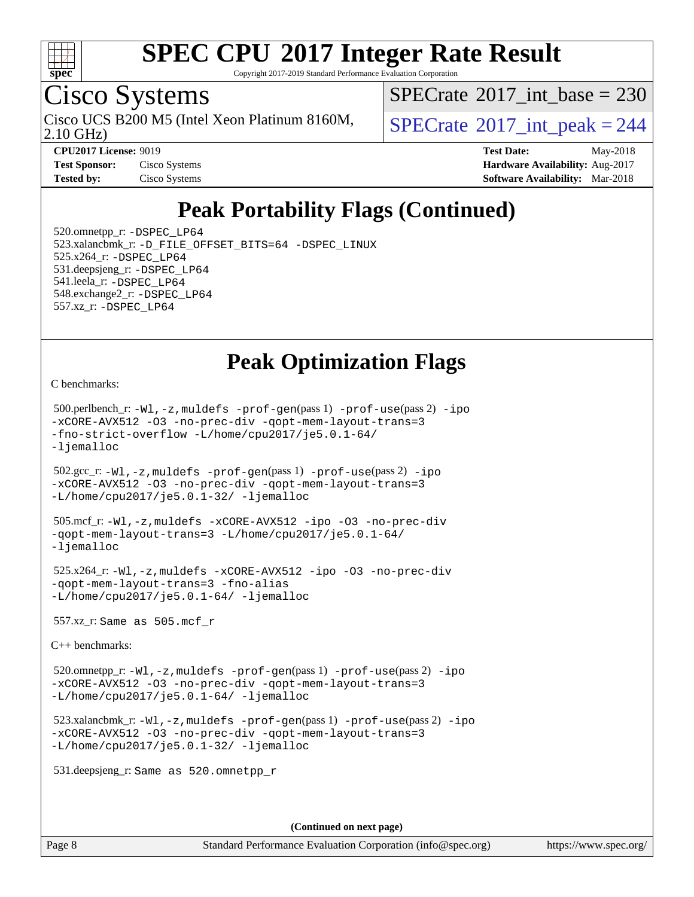

Copyright 2017-2019 Standard Performance Evaluation Corporation

## Cisco Systems

2.10 GHz) Cisco UCS B200 M5 (Intel Xeon Platinum 8160M,  $\big|$  [SPECrate](http://www.spec.org/auto/cpu2017/Docs/result-fields.html#SPECrate2017intpeak)<sup>®</sup>[2017\\_int\\_peak = 2](http://www.spec.org/auto/cpu2017/Docs/result-fields.html#SPECrate2017intpeak)44

 $SPECTate$ <sup>®</sup>[2017\\_int\\_base =](http://www.spec.org/auto/cpu2017/Docs/result-fields.html#SPECrate2017intbase) 230

**[Tested by:](http://www.spec.org/auto/cpu2017/Docs/result-fields.html#Testedby)** Cisco Systems **[Software Availability:](http://www.spec.org/auto/cpu2017/Docs/result-fields.html#SoftwareAvailability)** Mar-2018

**[CPU2017 License:](http://www.spec.org/auto/cpu2017/Docs/result-fields.html#CPU2017License)** 9019 **[Test Date:](http://www.spec.org/auto/cpu2017/Docs/result-fields.html#TestDate)** May-2018 **[Test Sponsor:](http://www.spec.org/auto/cpu2017/Docs/result-fields.html#TestSponsor)** Cisco Systems **Cisco Systems [Hardware Availability:](http://www.spec.org/auto/cpu2017/Docs/result-fields.html#HardwareAvailability)** Aug-2017

## **[Peak Portability Flags \(Continued\)](http://www.spec.org/auto/cpu2017/Docs/result-fields.html#PeakPortabilityFlags)**

 520.omnetpp\_r: [-DSPEC\\_LP64](http://www.spec.org/cpu2017/results/res2018q2/cpu2017-20180612-06895.flags.html#suite_peakPORTABILITY520_omnetpp_r_DSPEC_LP64) 523.xalancbmk\_r: [-D\\_FILE\\_OFFSET\\_BITS=64](http://www.spec.org/cpu2017/results/res2018q2/cpu2017-20180612-06895.flags.html#user_peakPORTABILITY523_xalancbmk_r_file_offset_bits_64_5ae949a99b284ddf4e95728d47cb0843d81b2eb0e18bdfe74bbf0f61d0b064f4bda2f10ea5eb90e1dcab0e84dbc592acfc5018bc955c18609f94ddb8d550002c) [-DSPEC\\_LINUX](http://www.spec.org/cpu2017/results/res2018q2/cpu2017-20180612-06895.flags.html#b523.xalancbmk_r_peakCXXPORTABILITY_DSPEC_LINUX) 525.x264\_r: [-DSPEC\\_LP64](http://www.spec.org/cpu2017/results/res2018q2/cpu2017-20180612-06895.flags.html#suite_peakPORTABILITY525_x264_r_DSPEC_LP64) 531.deepsjeng\_r: [-DSPEC\\_LP64](http://www.spec.org/cpu2017/results/res2018q2/cpu2017-20180612-06895.flags.html#suite_peakPORTABILITY531_deepsjeng_r_DSPEC_LP64) 541.leela\_r: [-DSPEC\\_LP64](http://www.spec.org/cpu2017/results/res2018q2/cpu2017-20180612-06895.flags.html#suite_peakPORTABILITY541_leela_r_DSPEC_LP64) 548.exchange2\_r: [-DSPEC\\_LP64](http://www.spec.org/cpu2017/results/res2018q2/cpu2017-20180612-06895.flags.html#suite_peakPORTABILITY548_exchange2_r_DSPEC_LP64) 557.xz\_r: [-DSPEC\\_LP64](http://www.spec.org/cpu2017/results/res2018q2/cpu2017-20180612-06895.flags.html#suite_peakPORTABILITY557_xz_r_DSPEC_LP64)

### **[Peak Optimization Flags](http://www.spec.org/auto/cpu2017/Docs/result-fields.html#PeakOptimizationFlags)**

[C benchmarks](http://www.spec.org/auto/cpu2017/Docs/result-fields.html#Cbenchmarks):

```
 500.perlbench_r: -Wl,-z,muldefs -prof-gen(pass 1) -prof-use(pass 2) -ipo
-xCORE-AVX512 -O3 -no-prec-div -qopt-mem-layout-trans=3
-fno-strict-overflow -L/home/cpu2017/je5.0.1-64/
-ljemalloc
 502.gcc_r: -Wl,-z,muldefs -prof-gen(pass 1) -prof-use(pass 2) -ipo
-xCORE-AVX512 -O3 -no-prec-div -qopt-mem-layout-trans=3
-L/home/cpu2017/je5.0.1-32/ -ljemalloc
 505.mcf_r: -Wl,-z,muldefs -xCORE-AVX512 -ipo -O3 -no-prec-div
-qopt-mem-layout-trans=3 -L/home/cpu2017/je5.0.1-64/
-ljemalloc
 525.x264_r: -Wl,-z,muldefs -xCORE-AVX512 -ipo -O3 -no-prec-div
-qopt-mem-layout-trans=3 -fno-alias
-L/home/cpu2017/je5.0.1-64/ -ljemalloc
 557.xz_r: Same as 505.mcf_r
C++ benchmarks: 
 520.omnetpp_r: -Wl,-z,muldefs -prof-gen(pass 1) -prof-use(pass 2) -ipo
-xCORE-AVX512 -O3 -no-prec-div -qopt-mem-layout-trans=3
-L/home/cpu2017/je5.0.1-64/ -ljemalloc
 523.xalancbmk_r: -Wl,-z,muldefs -prof-gen(pass 1) -prof-use(pass 2) -ipo
-xCORE-AVX512 -O3 -no-prec-div -qopt-mem-layout-trans=3
-L/home/cpu2017/je5.0.1-32/ -ljemalloc
 531.deepsjeng_r: Same as 520.omnetpp_r
```
**(Continued on next page)**